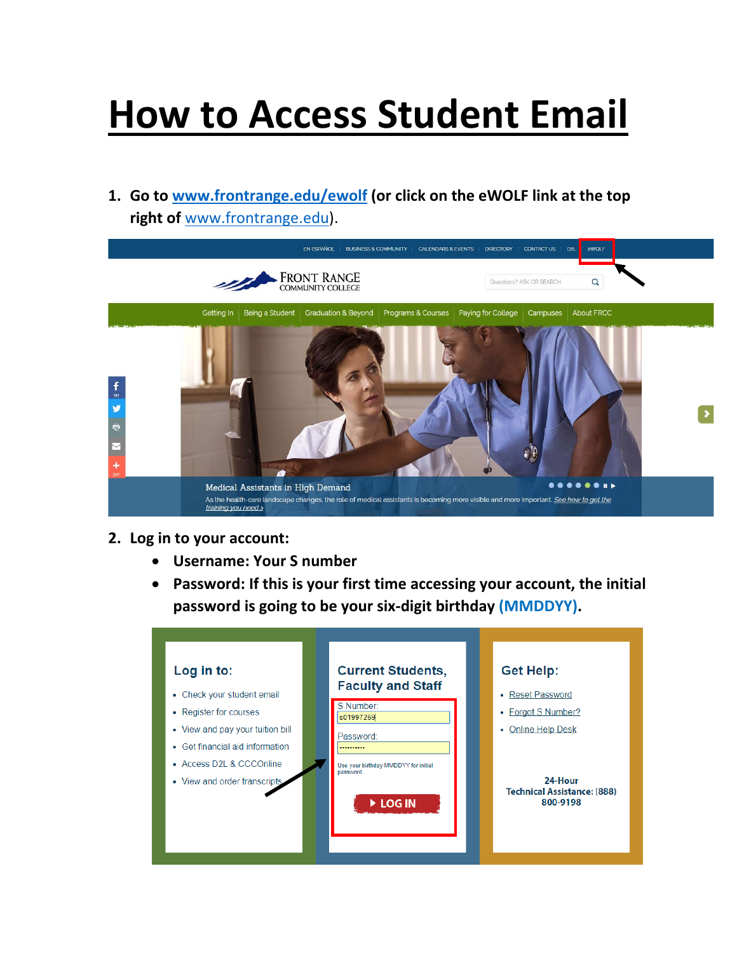## **How to Access Student Email**

**1. Go to [www.frontrange.edu/](https://www.frontrange.edu/ewolf)ewolf (or click on the eWOLF link at the top right of** [www.frontrange.edu\)](https://www.frontrange.edu/).



- **2. Log in to your account:**
	- **Username: Your S number**
	- **Password: If this is your first time accessing your account, the initial password is going to be your six-digit birthday (MMDDYY).**

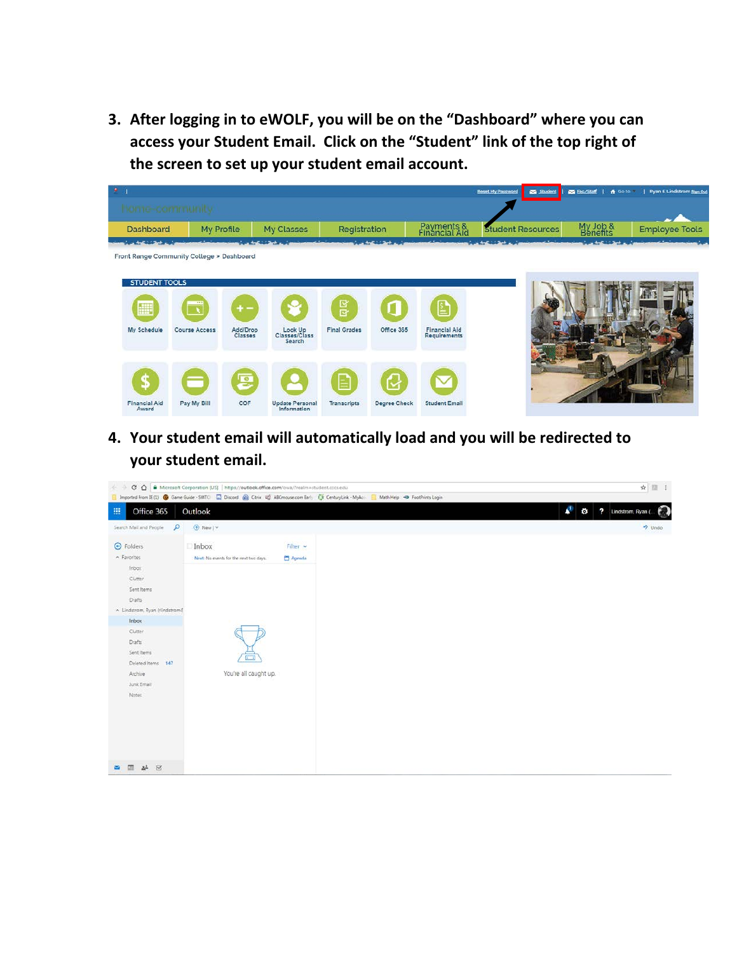**3. After logging in to eWOLF, you will be on the "Dashboard" where you can access your Student Email. Click on the "Student" link of the top right of the screen to set up your student email account.**

| $\bullet$                                                                       |               |                     |                                    |                     |                         |                                             | <b>Reset My Password</b> | Student |                             | Eac/Staff   A Go to 7   Ryan E Lindstrom Spn C |
|---------------------------------------------------------------------------------|---------------|---------------------|------------------------------------|---------------------|-------------------------|---------------------------------------------|--------------------------|---------|-----------------------------|------------------------------------------------|
| home-community                                                                  |               |                     |                                    |                     |                         |                                             |                          |         |                             |                                                |
| Dashboard                                                                       | My Profile    |                     | My Classes                         | Registration        |                         | Payments &<br>Financial Aid                 | <b>Student Resources</b> |         | My Job &<br>Benefits        | <b>Employee Tools</b>                          |
| <b>All Control of State Co</b> . A<br>Front Range Community College > Dashboard |               |                     |                                    |                     | and the dealership that |                                             |                          |         | <b>Constitution Section</b> |                                                |
|                                                                                 |               |                     |                                    |                     |                         |                                             |                          |         |                             |                                                |
| <b>STUDENT TOOLS</b>                                                            |               |                     |                                    |                     |                         |                                             |                          |         |                             |                                                |
| E                                                                               |               | $+ -$               |                                    | នយ                  |                         | 뢐                                           |                          |         |                             |                                                |
| My Schedule                                                                     | Course Access | Add/Drop<br>Classes | Look Up<br>Classes/Class<br>Search | <b>Final Grades</b> | Office 365              | <b>Financial Aid</b><br><b>Requirements</b> |                          |         |                             |                                                |
|                                                                                 |               |                     |                                    |                     |                         |                                             |                          |         |                             |                                                |
| S                                                                               |               | 鸟                   |                                    |                     |                         |                                             |                          |         |                             |                                                |
| <b>Financial Aid</b>                                                            | Pay My Bill   | COF                 | <b>Update Personal</b>             |                     |                         | <b>Student Email</b>                        |                          |         |                             |                                                |
| Award                                                                           |               |                     | Information                        | Transcripts         | Degree Check            |                                             |                          |         |                             |                                                |

**4. Your student email will automatically load and you will be redirected to your student email.**

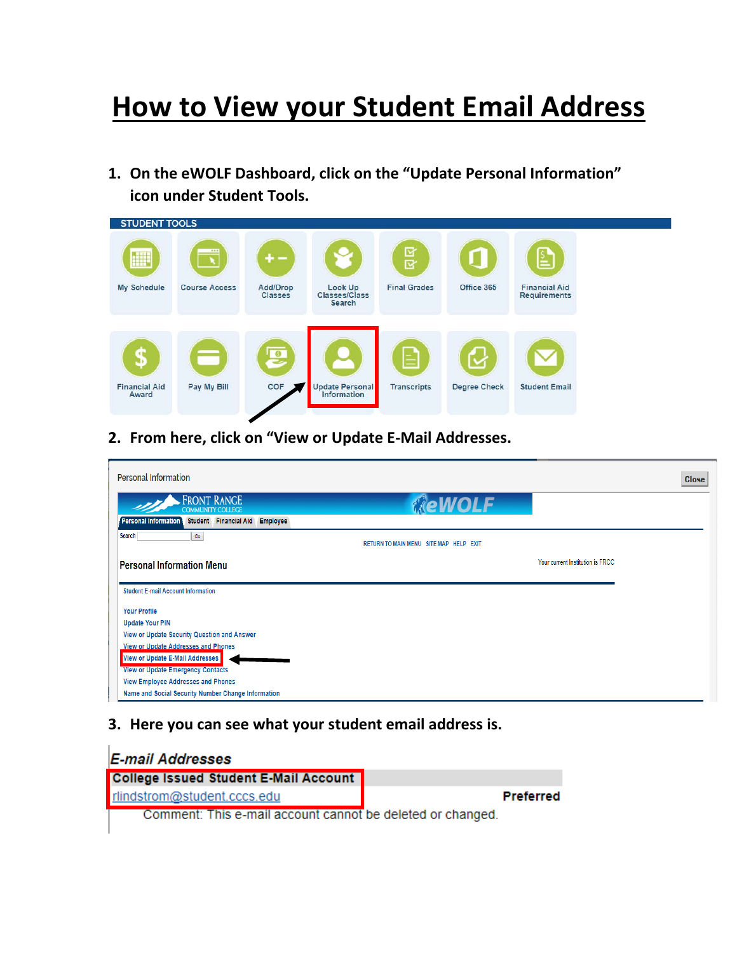## **How to View your Student Email Address**

**1. On the eWOLF Dashboard, click on the "Update Personal Information" icon under Student Tools.**

| <b>STUDENT TOOLS</b> |                      |                            |                                           |                     |                     |                                             |
|----------------------|----------------------|----------------------------|-------------------------------------------|---------------------|---------------------|---------------------------------------------|
| E                    | 232                  | $+ -$                      |                                           | 四区                  |                     | ≧                                           |
| My Schedule          | <b>Course Access</b> | Add/Drop<br><b>Classes</b> | Look Up<br>Classes/Class<br><b>Search</b> | <b>Final Grades</b> | Office 365          | <b>Financial Aid</b><br><b>Requirements</b> |
| \$                   | Ξ                    | 厚                          |                                           | E                   |                     |                                             |
| <b>Financial Aid</b> | Pay My Bill          | COF                        | <b>Update Personal</b>                    | <b>Transcripts</b>  | <b>Degree Check</b> | <b>Student Email</b>                        |
| Award                |                      |                            | Information                               |                     |                     |                                             |

**2. From here, click on "View or Update E-Mail Addresses.**

| Personal Information                                                    |                                        |                                  | <b>Close</b> |
|-------------------------------------------------------------------------|----------------------------------------|----------------------------------|--------------|
| <b>FRONT RANGE</b><br><b>COMMUNITY COLLEGE</b>                          | <b><i>MeWOLF</i></b>                   |                                  |              |
| <b>Personal Information</b><br>Student Financial Aid<br><b>Employee</b> |                                        |                                  |              |
| <b>Search</b><br>Go                                                     | RETURN TO MAIN MENU SITE MAP HELP EXIT |                                  |              |
| <b>Personal Information Menu</b>                                        |                                        | Your current Institution is FRCC |              |
|                                                                         |                                        |                                  |              |
| <b>Student E-mail Account Information</b>                               |                                        |                                  |              |
| <b>Your Profile</b>                                                     |                                        |                                  |              |
| <b>Update Your PIN</b>                                                  |                                        |                                  |              |
| View or Update Security Question and Answer                             |                                        |                                  |              |
| View or Update Addresses and Phones                                     |                                        |                                  |              |
| View or Update E-Mail Addresses                                         |                                        |                                  |              |
| <b>View or Update Emergency Contacts</b>                                |                                        |                                  |              |
| <b>View Employee Addresses and Phones</b>                               |                                        |                                  |              |
| Name and Social Security Number Change Information                      |                                        |                                  |              |

**3. Here you can see what your student email address is.**

| E-mail Addresses                                           |           |
|------------------------------------------------------------|-----------|
| <b>College Issued Student E-Mail Account</b>               |           |
| rlindstrom@student.cccs.edu                                | Preferred |
| Comment: This e-mail account cannot be deleted or changed. |           |
|                                                            |           |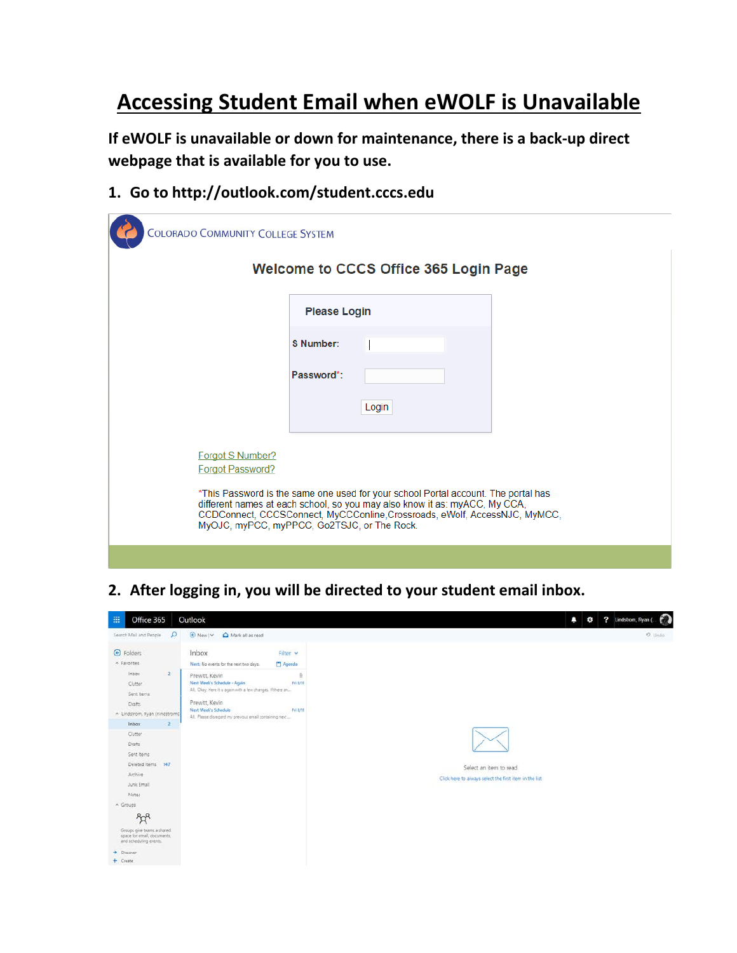## **Accessing Student Email when eWOLF is Unavailable**

**If eWOLF is unavailable or down for maintenance, there is a back-up direct webpage that is available for you to use.**

**1. Go to http://outlook.com/student.cccs.edu**

| <b>COLORADO COMMUNITY COLLEGE SYSTEM</b>                                                                                                                                                                                                                                                      |                     |  |  |  |  |
|-----------------------------------------------------------------------------------------------------------------------------------------------------------------------------------------------------------------------------------------------------------------------------------------------|---------------------|--|--|--|--|
| <b>Welcome to CCCS Office 365 Login Page</b>                                                                                                                                                                                                                                                  |                     |  |  |  |  |
|                                                                                                                                                                                                                                                                                               | <b>Please Login</b> |  |  |  |  |
|                                                                                                                                                                                                                                                                                               | S Number:           |  |  |  |  |
|                                                                                                                                                                                                                                                                                               | Password*:          |  |  |  |  |
|                                                                                                                                                                                                                                                                                               | Login               |  |  |  |  |
| <b>Forgot S Number?</b><br><b>Forgot Password?</b>                                                                                                                                                                                                                                            |                     |  |  |  |  |
| *This Password is the same one used for your school Portal account. The portal has<br>different names at each school, so you may also know it as: myACC, My CCA,<br>CCDConnect, CCCSConnect, MyCCConline, Crossroads, eWolf, AccessNJC, MyMCC,<br>MyOJC, myPCC, myPPCC, Go2TSJC, or The Rock. |                     |  |  |  |  |
|                                                                                                                                                                                                                                                                                               |                     |  |  |  |  |

**2. After logging in, you will be directed to your student email inbox.**